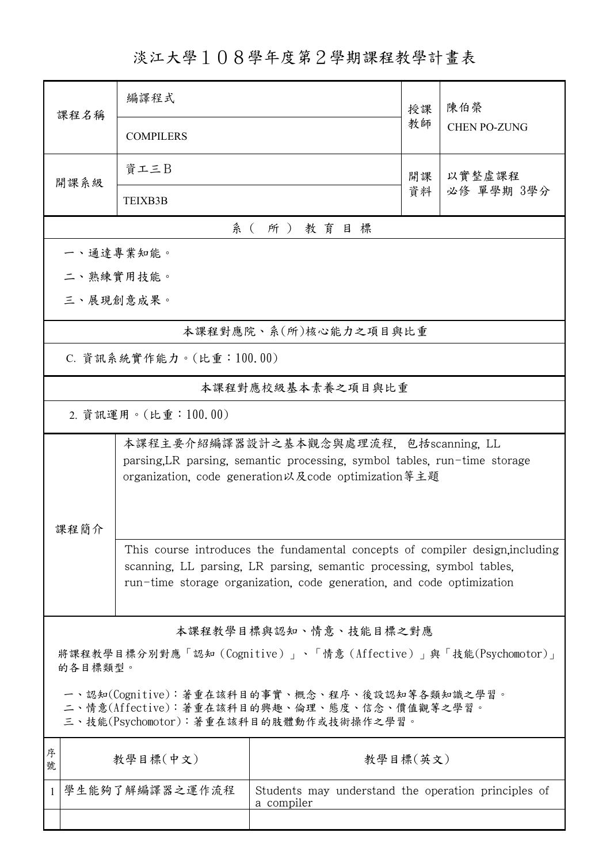淡江大學108學年度第2學期課程教學計畫表

| 课程名稱                                                                                                                                                                                                                                                                                                                                                                                                                | 編譯程式             |                                                     | 授課           | 陳伯榮                 |  |  |  |  |                       |
|---------------------------------------------------------------------------------------------------------------------------------------------------------------------------------------------------------------------------------------------------------------------------------------------------------------------------------------------------------------------------------------------------------------------|------------------|-----------------------------------------------------|--------------|---------------------|--|--|--|--|-----------------------|
|                                                                                                                                                                                                                                                                                                                                                                                                                     | <b>COMPILERS</b> |                                                     |              | <b>CHEN PO-ZUNG</b> |  |  |  |  |                       |
| 開課系級                                                                                                                                                                                                                                                                                                                                                                                                                | 資工三B             |                                                     | 以實整虛課程<br>開課 |                     |  |  |  |  |                       |
|                                                                                                                                                                                                                                                                                                                                                                                                                     | TEIXB3B          |                                                     | 資料           | 必修 單學期 3學分          |  |  |  |  |                       |
|                                                                                                                                                                                                                                                                                                                                                                                                                     | 系 ( 所 ) 教育目標     |                                                     |              |                     |  |  |  |  |                       |
| 一、通達專業知能。                                                                                                                                                                                                                                                                                                                                                                                                           |                  |                                                     |              |                     |  |  |  |  |                       |
|                                                                                                                                                                                                                                                                                                                                                                                                                     | 二、熟練實用技能。        |                                                     |              |                     |  |  |  |  |                       |
| 三、展現創意成果。                                                                                                                                                                                                                                                                                                                                                                                                           |                  |                                                     |              |                     |  |  |  |  |                       |
|                                                                                                                                                                                                                                                                                                                                                                                                                     |                  | 本課程對應院、系(所)核心能力之項目與比重                               |              |                     |  |  |  |  |                       |
| C. 資訊系統實作能力。(比重:100.00)                                                                                                                                                                                                                                                                                                                                                                                             |                  |                                                     |              |                     |  |  |  |  |                       |
|                                                                                                                                                                                                                                                                                                                                                                                                                     |                  | 本課程對應校級基本素養之項目與比重                                   |              |                     |  |  |  |  |                       |
| 2. 資訊運用。(比重:100.00)                                                                                                                                                                                                                                                                                                                                                                                                 |                  |                                                     |              |                     |  |  |  |  |                       |
| 本課程主要介紹編譯器設計之基本觀念與處理流程,包括scanning,LL<br>parsing, LR parsing, semantic processing, symbol tables, run-time storage<br>organization, code generation以及code optimization等主題<br>课程簡介<br>This course introduces the fundamental concepts of compiler design, including<br>scanning, LL parsing, LR parsing, semantic processing, symbol tables,<br>run-time storage organization, code generation, and code optimization |                  |                                                     |              |                     |  |  |  |  |                       |
|                                                                                                                                                                                                                                                                                                                                                                                                                     |                  |                                                     |              |                     |  |  |  |  | 本課程教學目標與認知、情意、技能目標之對應 |
| 將課程教學目標分別對應「認知(Cognitive)」、「情意(Affective)」與「技能(Psychomotor)」<br>的各目標類型。                                                                                                                                                                                                                                                                                                                                             |                  |                                                     |              |                     |  |  |  |  |                       |
| 一、認知(Cognitive):著重在該科目的事實、概念、程序、後設認知等各類知識之學習。<br>二、情意(Affective):著重在該科目的興趣、倫理、態度、信念、價值觀等之學習。<br>三、技能(Psychomotor):著重在該科目的肢體動作或技術操作之學習。                                                                                                                                                                                                                                                                              |                  |                                                     |              |                     |  |  |  |  |                       |
| 序<br>教學目標(中文)<br>教學目標(英文)<br>號                                                                                                                                                                                                                                                                                                                                                                                      |                  |                                                     |              |                     |  |  |  |  |                       |
| 學生能夠了解編譯器之運作流程<br>1                                                                                                                                                                                                                                                                                                                                                                                                 | a compiler       | Students may understand the operation principles of |              |                     |  |  |  |  |                       |
|                                                                                                                                                                                                                                                                                                                                                                                                                     |                  |                                                     |              |                     |  |  |  |  |                       |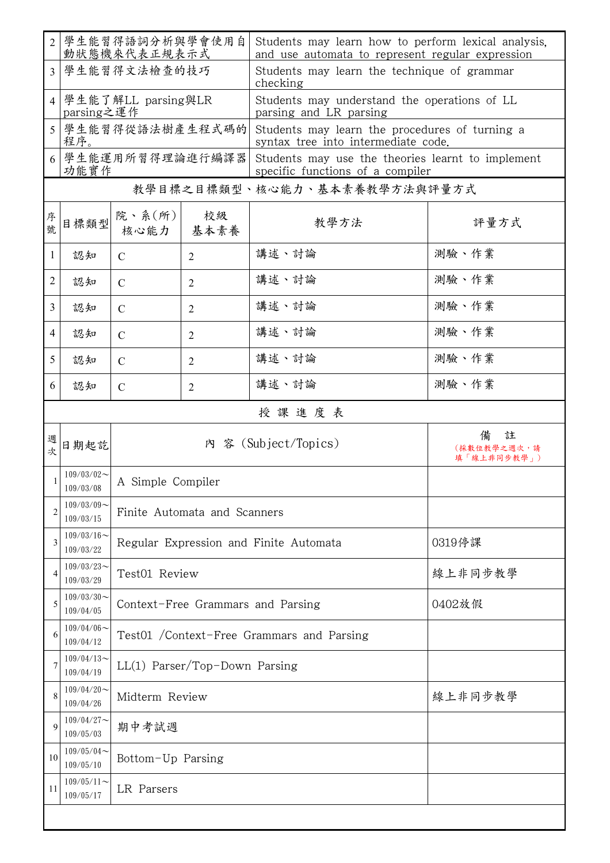| $\overline{2}$ |                                  | 学生能習得語詞分析與學會使用自<br>動狀態機來代表正規表示式           |                |                                                                                       | Students may learn how to perform lexical analysis.<br>and use automata to represent regular expression |  |
|----------------|----------------------------------|-------------------------------------------|----------------|---------------------------------------------------------------------------------------|---------------------------------------------------------------------------------------------------------|--|
| $\overline{3}$ |                                  | 學生能習得文法檢查的技巧                              |                | checking                                                                              | Students may learn the technique of grammar                                                             |  |
| $\overline{4}$ | 學生能了解LL parsing與LR<br>parsing之運作 |                                           |                | Students may understand the operations of LL<br>parsing and LR parsing                |                                                                                                         |  |
| 5              | 程序。                              | 學生能習得從語法樹產生程式碼的                           |                | Students may learn the procedures of turning a<br>syntax tree into intermediate code. |                                                                                                         |  |
| 6              | 學生能運用所習得理論進行編譯器<br>功能實作          |                                           |                | Students may use the theories learnt to implement<br>specific functions of a compiler |                                                                                                         |  |
|                |                                  |                                           |                | 教學目標之目標類型、核心能力、基本素養教學方法與評量方式                                                          |                                                                                                         |  |
| 序號             | 目標類型                             | 院、系 $(\text{m})$<br>核心能力                  | 校級<br>基本素養     | 教學方法                                                                                  | 評量方式                                                                                                    |  |
| 1              | 認知                               | $\mathcal{C}$                             | $\overline{2}$ | 講述、討論                                                                                 | 測驗、作業                                                                                                   |  |
| 2              | 認知                               | $\mathcal{C}$                             | $\overline{2}$ | 講述、討論                                                                                 | 測驗、作業                                                                                                   |  |
| 3              | 認知                               | $\mathcal{C}$                             | $\overline{2}$ | 講述、討論                                                                                 | 測驗、作業                                                                                                   |  |
| 4              | 認知                               | $\mathcal{C}$                             | $\overline{2}$ | 講述、討論                                                                                 | 測驗、作業                                                                                                   |  |
| 5              | 認知                               | $\mathcal{C}$                             | $\overline{2}$ | 講述、討論                                                                                 | 測驗、作業                                                                                                   |  |
| 6              | 認知                               | $\mathcal{C}$                             | $\overline{2}$ | 講述、討論                                                                                 | 測驗、作業                                                                                                   |  |
|                |                                  |                                           |                | 授課進度表                                                                                 |                                                                                                         |  |
| 週<br>字         | 日期起訖                             | 内 容 (Subject/Topics)                      |                |                                                                                       | 註<br>備<br>(採數位教學之週次,請<br>填「線上非同步教學」)                                                                    |  |
| $\mathbf{1}$   | $109/03/02$ ~<br>109/03/08       | A Simple Compiler                         |                |                                                                                       |                                                                                                         |  |
| $\overline{2}$ | $109/03/09$ ~<br>109/03/15       | Finite Automata and Scanners              |                |                                                                                       |                                                                                                         |  |
| 3              | $109/03/16$ ~<br>109/03/22       | Regular Expression and Finite Automata    |                |                                                                                       | 0319停課                                                                                                  |  |
| 4              | $109/03/23$ ~<br>109/03/29       | Test01 Review                             |                |                                                                                       | 線上非同步教學                                                                                                 |  |
| 5              | $109/03/30$ ~<br>109/04/05       | Context-Free Grammars and Parsing         |                |                                                                                       | 0402放假                                                                                                  |  |
| 6              | $109/04/06 \sim$<br>109/04/12    | Test01 /Context-Free Grammars and Parsing |                |                                                                                       |                                                                                                         |  |
| 7              | $109/04/13$ ~<br>109/04/19       | $LL(1)$ Parser/Top-Down Parsing           |                |                                                                                       |                                                                                                         |  |
| 8              | $109/04/20$ ~<br>109/04/26       | Midterm Review                            |                |                                                                                       | 線上非同步教學                                                                                                 |  |
| 9              | $109/04/27$ ~<br>109/05/03       | 期中考試週                                     |                |                                                                                       |                                                                                                         |  |
| 10             | $109/05/04$ ~<br>109/05/10       | Bottom-Up Parsing                         |                |                                                                                       |                                                                                                         |  |
| 11             | $109/05/11$ ~<br>109/05/17       | LR Parsers                                |                |                                                                                       |                                                                                                         |  |
|                |                                  |                                           |                |                                                                                       |                                                                                                         |  |